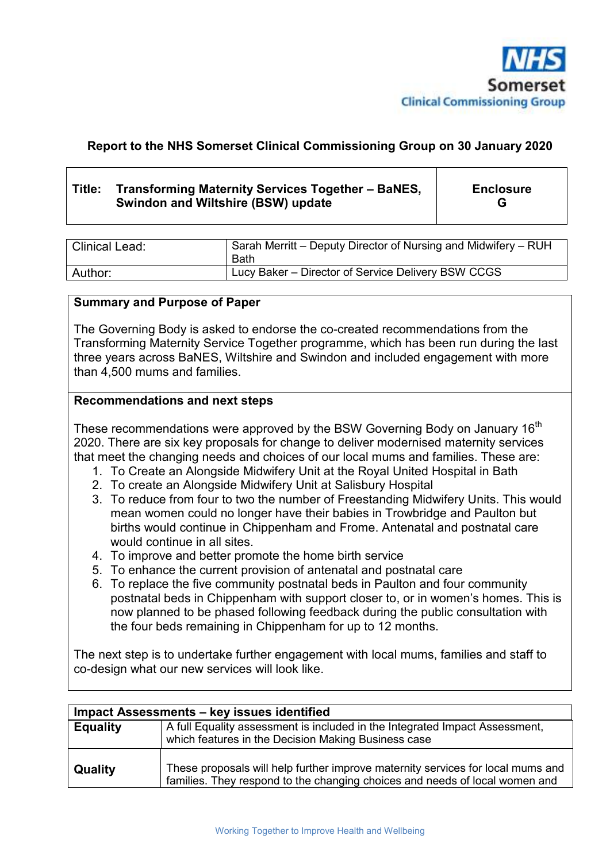

#### **Report to the NHS Somerset Clinical Commissioning Group on 30 January 2020**

#### **Title: Transforming Maternity Services Together – BaNES, Swindon and Wiltshire (BSW) update**

**Enclosure G** 

| <b>Clinical Lead:</b> | Sarah Merritt – Deputy Director of Nursing and Midwifery – RUH<br>Bath |
|-----------------------|------------------------------------------------------------------------|
| Author:               | Lucy Baker – Director of Service Delivery BSW CCGS                     |

#### **Summary and Purpose of Paper**

The Governing Body is asked to endorse the co-created recommendations from the Transforming Maternity Service Together programme, which has been run during the last three years across BaNES, Wiltshire and Swindon and included engagement with more than 4,500 mums and families.

#### **Recommendations and next steps**

These recommendations were approved by the BSW Governing Body on January 16<sup>th</sup> 2020. There are six key proposals for change to deliver modernised maternity services that meet the changing needs and choices of our local mums and families. These are:

- 1. To Create an Alongside Midwifery Unit at the Royal United Hospital in Bath
- 2. To create an Alongside Midwifery Unit at Salisbury Hospital
- 3. To reduce from four to two the number of Freestanding Midwifery Units. This would mean women could no longer have their babies in Trowbridge and Paulton but births would continue in Chippenham and Frome. Antenatal and postnatal care would continue in all sites.
- 4. To improve and better promote the home birth service
- 5. To enhance the current provision of antenatal and postnatal care
- 6. To replace the five community postnatal beds in Paulton and four community postnatal beds in Chippenham with support closer to, or in women's homes. This is now planned to be phased following feedback during the public consultation with the four beds remaining in Chippenham for up to 12 months.

The next step is to undertake further engagement with local mums, families and staff to co-design what our new services will look like.

| Impact Assessments - key issues identified |                                                                                                                                                                |  |  |  |
|--------------------------------------------|----------------------------------------------------------------------------------------------------------------------------------------------------------------|--|--|--|
| <b>Equality</b>                            | A full Equality assessment is included in the Integrated Impact Assessment,<br>which features in the Decision Making Business case                             |  |  |  |
| Quality                                    | These proposals will help further improve maternity services for local mums and<br>families. They respond to the changing choices and needs of local women and |  |  |  |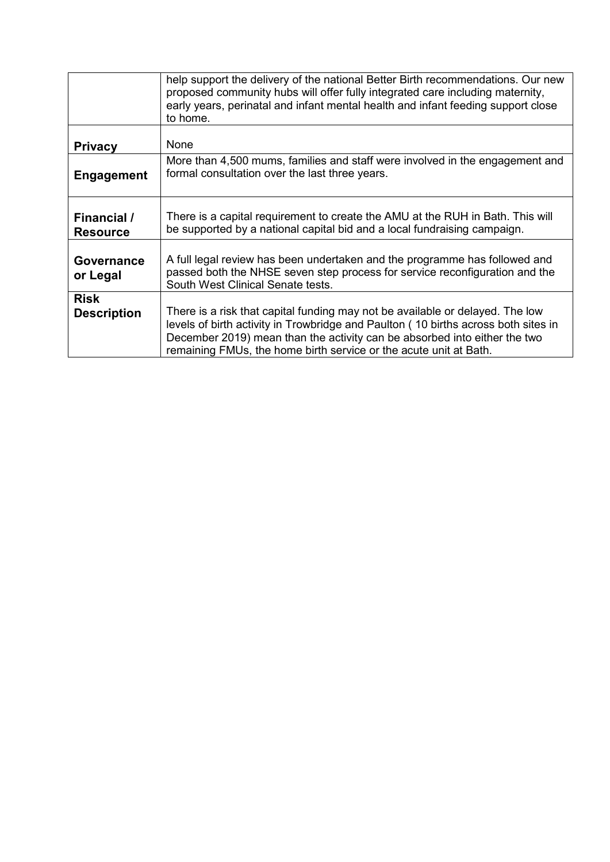|                                   | help support the delivery of the national Better Birth recommendations. Our new<br>proposed community hubs will offer fully integrated care including maternity,<br>early years, perinatal and infant mental health and infant feeding support close<br>to home.                                                      |
|-----------------------------------|-----------------------------------------------------------------------------------------------------------------------------------------------------------------------------------------------------------------------------------------------------------------------------------------------------------------------|
| <b>Privacy</b>                    | None                                                                                                                                                                                                                                                                                                                  |
| <b>Engagement</b>                 | More than 4,500 mums, families and staff were involved in the engagement and<br>formal consultation over the last three years.                                                                                                                                                                                        |
| Financial /<br><b>Resource</b>    | There is a capital requirement to create the AMU at the RUH in Bath. This will<br>be supported by a national capital bid and a local fundraising campaign.                                                                                                                                                            |
| Governance<br>or Legal            | A full legal review has been undertaken and the programme has followed and<br>passed both the NHSE seven step process for service reconfiguration and the<br>South West Clinical Senate tests.                                                                                                                        |
| <b>Risk</b><br><b>Description</b> | There is a risk that capital funding may not be available or delayed. The low<br>levels of birth activity in Trowbridge and Paulton (10 births across both sites in<br>December 2019) mean than the activity can be absorbed into either the two<br>remaining FMUs, the home birth service or the acute unit at Bath. |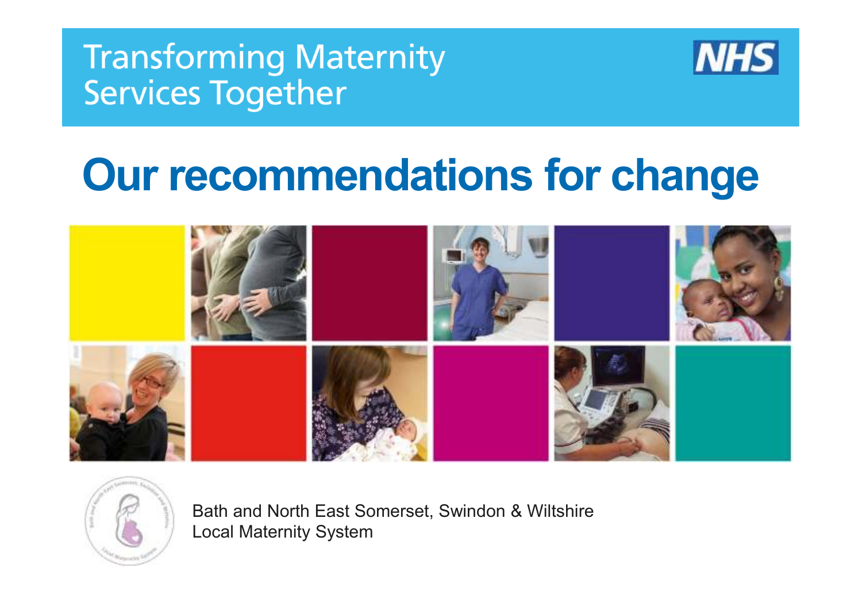

# **Our recommendations for change**



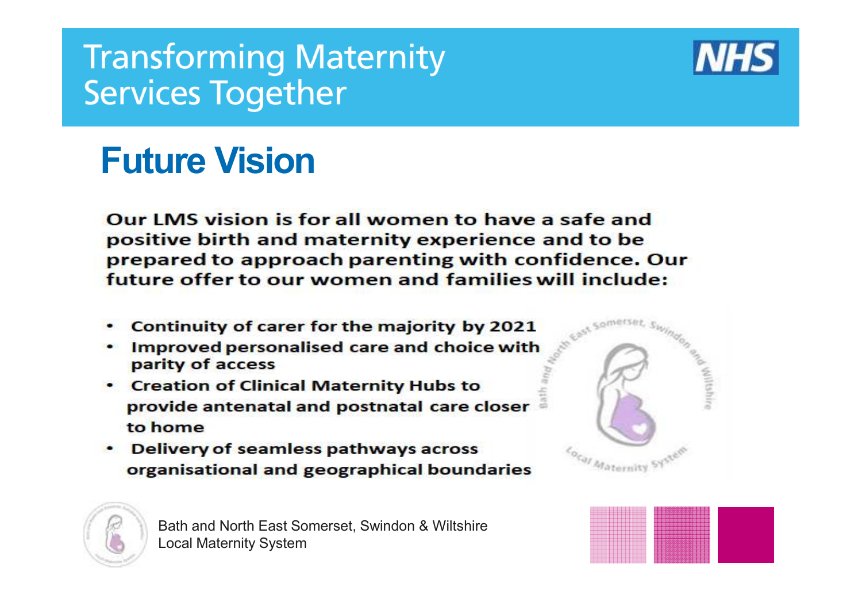

## **Future Vision**

Our LMS vision is for all women to have a safe and positive birth and maternity experience and to be prepared to approach parenting with confidence. Our future offer to our women and families will include:

- Continuity of carer for the majority by 2021
- . Improved personalised care and choice with parity of access
- Creation of Clinical Maternity Hubs to provide antenatal and postnatal care closer to home
- Delivery of seamless pathways across organisational and geographical boundaries





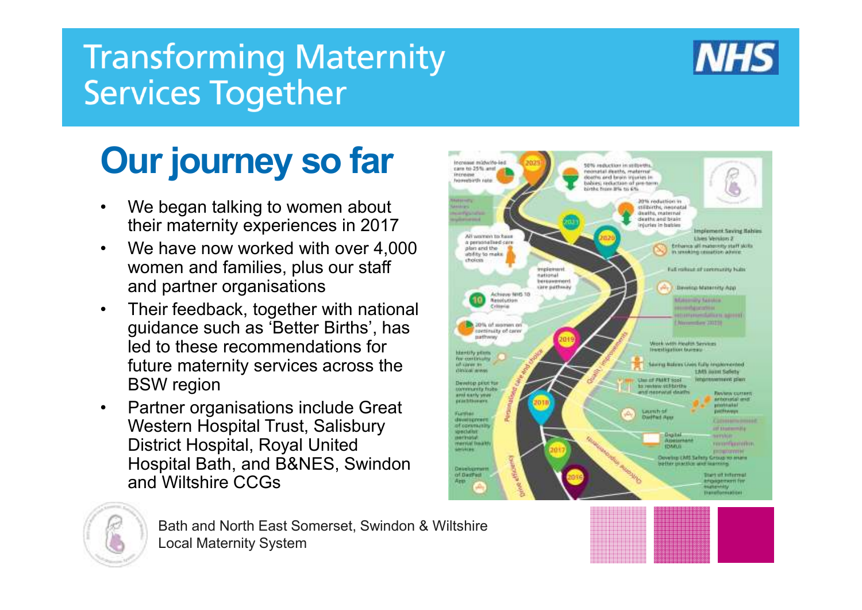

# **Our journey so far**

- • We began talking to women about their maternity experiences in 2017
- We have now worked with over 4,000 •women and families, plus our staff and partner organisations
- • Their feedback, together with national guidance such as 'Better Births', has led to these recommendations for future maternity services across the BSW region
- Partner organisations include Great •Western Hospital Trust, Salisbury District Hospital, Royal United Hospital Bath, and B&NES, Swindon and Wiltshire CCGs



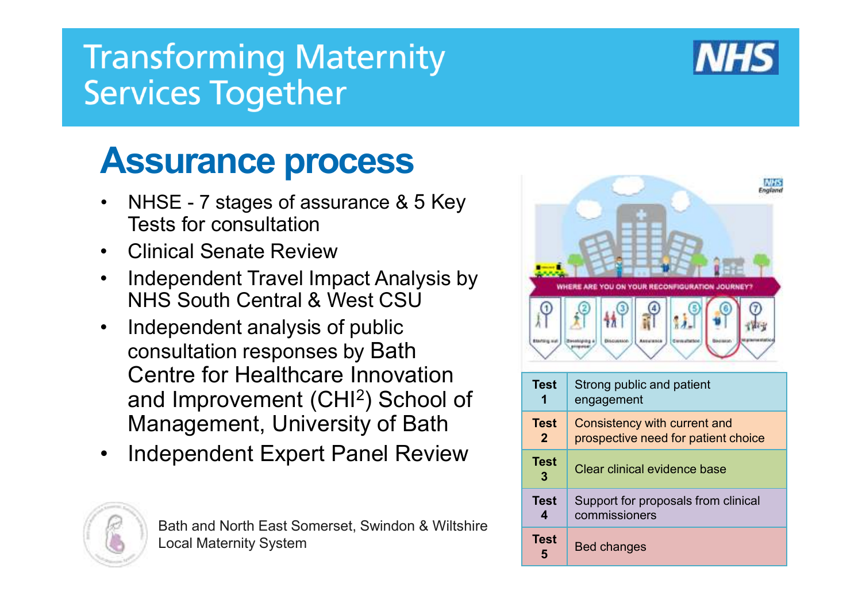## **Assurance process**

- NHSE 7 stages of assurance & 5 Key  $\bullet$ Tests for consultation
- Clinical Senate Review •
- • Independent Travel Impact Analysis by NHS South Central & West CSU
- $\bullet$  Independent analysis of public consultation responses by Bath Centre for Healthcare Innovation and Improvement (CHI<sup>2</sup>) School of Management, University of Bath
- Independent Expert Panel Review  $\bullet$





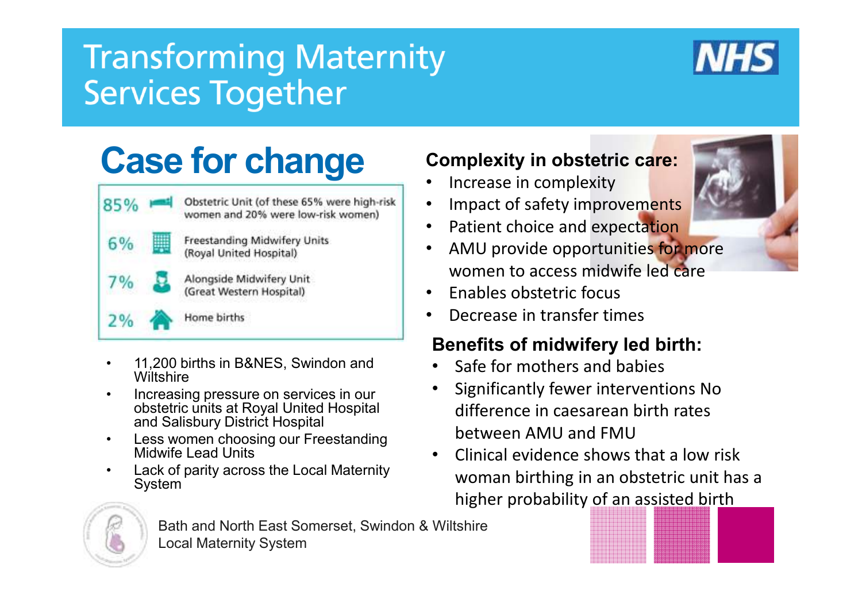

## **Case for change**

| 85%   | Obstetric Unit (of these 65% were high-risk<br>women and 20% were low-risk women) |
|-------|-----------------------------------------------------------------------------------|
| $6\%$ | Freestanding Midwifery Units<br>(Royal United Hospital)                           |
| $7\%$ | Alongside Midwifery Unit<br>(Great Western Hospital)                              |
|       | Home births                                                                       |

- • 11,200 births in B&NES, Swindon and **Wiltshire**
- Increasing pressure on services in our •obstetric units at Royal United Hospital and Salisbury District Hospital
- • Less women choosing our Freestanding Midwife Lead Units
- Lack of parity across the Local Maternity •System

#### **Complexity in obstetric care:**

- •Increase in complexity
- •Impact of safety improvements
- •Patient choice and expectation
- AMU provide opportunities for more •women to access midwife led care
- •Enables obstetric focus
- •Decrease in transfer times

#### **Benefits of midwifery led birth:**

- •Safe for mothers and babies
- • Significantly fewer interventions No difference in caesarean birth rates between AMU and FMU
- Clinical evidence shows that a low risk •woman birthing in an obstetric unit has a higher probability of an assisted birth

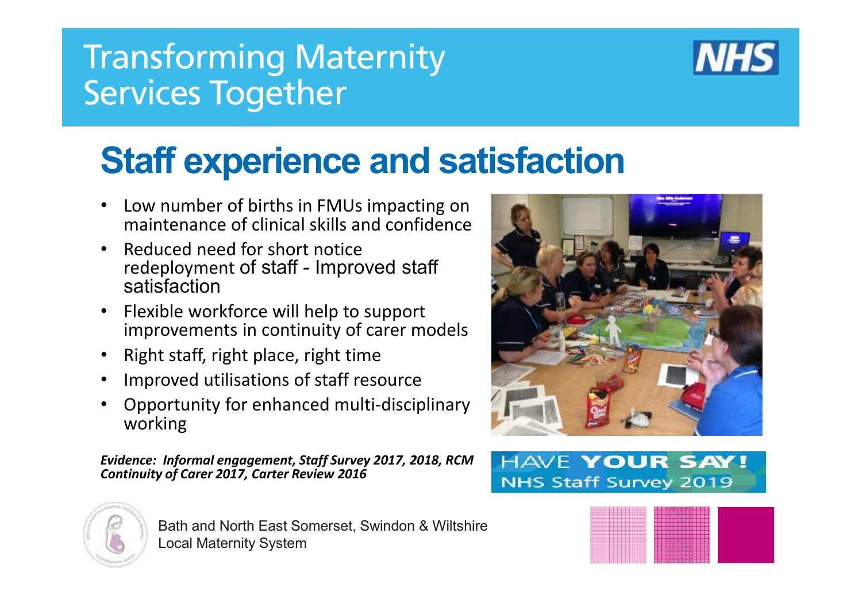

## **Staff experience and satisfaction**

- • Low number of births in FMUs impacting on maintenance of clinical skills and confidence
- • Reduced need for short notice redeployment of staff - Improved staff satisfaction
- Flexible workforce will help to support •improvements in continuity of carer models
- $\bullet$ Right staff, right place, right time
- •Improved utilisations of staff resource
- • Opportunity for enhanced multi-disciplinary working

*Evidence: Informal engagement, Staff Survey 2017, 2018, RCM Continuity of Carer 2017, Carter Review 2016*



Bath and North East Somerset, Swindon & WiltshireLocal Maternity System



#### **HAVE YOUR SAY! NHS Staff Survey 2019**

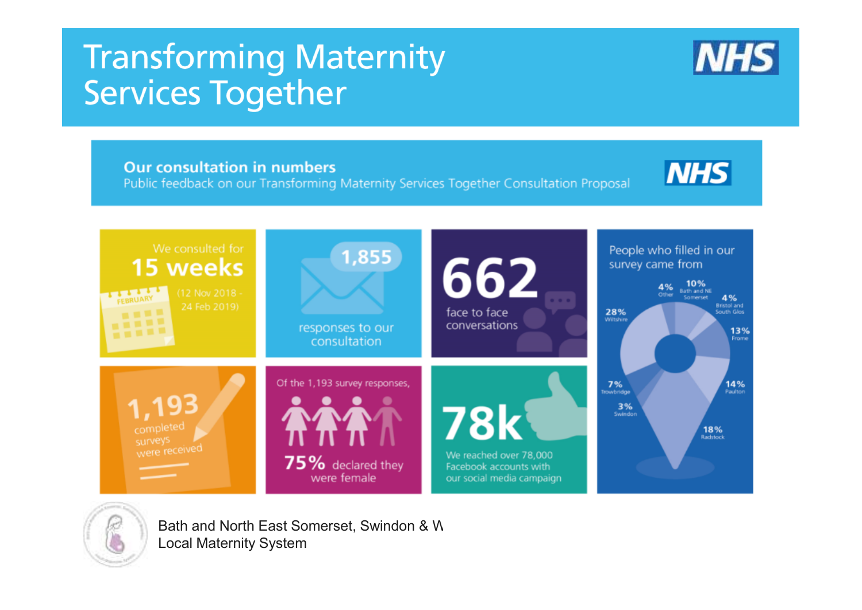**Dur consultation in numbers**<br> **Public feedback on our Transforming Maternity Services Together Consultation Proposal** 



We reached over 78,000 Facebook accounts with our social media campaign





Bath and North East Somerset, Swindon & W Local Maternity System

75% declared they

were female

**NHS**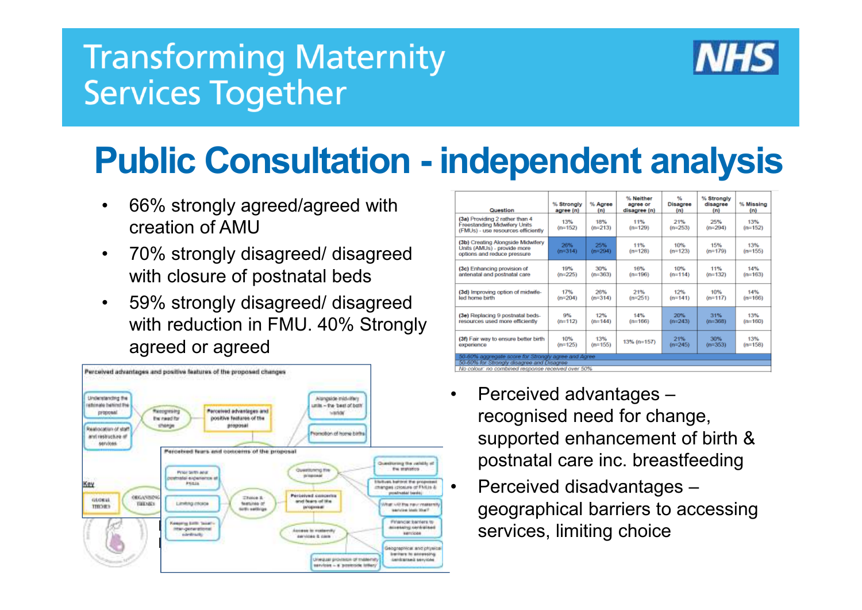

# **Public Consultation - independent analysis**

- • 66% strongly agreed/agreed with creation of AMU
- 70% strongly disagreed/ disagreed •with closure of postnatal beds
- • 59% strongly disagreed/ disagreed with reduction in FMU. 40% Strongly agreed or agreed



| Question                                                                                                                                              | % Strongly<br>agree (n) | % Agree<br>(n)   | % Neither<br>agree or<br>disagree (n) | 66<br>Disagree<br>(n) | % Strongly<br>disagree<br>(n) | % Missing<br>(m) |
|-------------------------------------------------------------------------------------------------------------------------------------------------------|-------------------------|------------------|---------------------------------------|-----------------------|-------------------------------|------------------|
| (3a) Providing 2 rather than 4<br><b>Freestanding Midwifery Units</b><br>(FMUs) - use resources efficiently                                           | 13%<br>$(n=152)$        | 18%<br>$(n=213)$ | 11%<br>$(n=129)$                      | 21%<br>$(n=253)$      | 25%<br>$(n=294)$              | 13%<br>$(n=152)$ |
| (3b) Creating Alongside Midwifery<br>Units (AMUs) - provide more<br>options and reduce pressure                                                       | 26%<br>$(n=314)$        | 25%<br>$(n=294)$ | 11%<br>$(n=128)$                      | 10%<br>$(n=123)$      | 15%<br>$(n=179)$              | 13%<br>$(n=155)$ |
| (3c) Enhancing provision of                                                                                                                           | 19%                     | 30%              | 16%                                   | 10%                   | 11%                           | 14%              |
| antenatal and postnatal care                                                                                                                          | $(n=225)$               | $(n=363)$        | $(n=196)$                             | $(n=114)$             | $(n=132)$                     | $(n=163)$        |
| (3d) Improving option of midwife-                                                                                                                     | 17%                     | 26%              | 21%                                   | 12%                   | 10%                           | 14%              |
| led home birth                                                                                                                                        | $(n=204)$               | $(n=314)$        | $(n=251)$                             | $(n=141)$             | $(n=117)$                     | $(n=166)$        |
| (3e) Replacing 9 postnatal beds-                                                                                                                      | 9%                      | 12%              | 14%                                   | 20%                   | 31%                           | 13%              |
| resources used more efficiently                                                                                                                       | $(n=112)$               | $(n=144)$        | $(n=166)$                             | $(n=243)$             | $(n=368)$                     | $(n=160)$        |
| (3f) Fair way to ensure better birth                                                                                                                  | 10%                     | 13%              | 13% (n=157)                           | 21%                   | 30%                           | 13%              |
| experience                                                                                                                                            | $(n=125)$               | $(n=155)$        |                                       | $(n=245)$             | $(n=353)$                     | $(n=158)$        |
| 50-60% aggregate score for Strongly agree and Agree<br>50-60% for Strongly disagree and Disagree<br>No colour: no combined response received over 50% |                         |                  |                                       |                       |                               |                  |

- • Perceived advantages – recognised need for change, supported enhancement of birth & postnatal care inc. breastfeeding
- services, limiting choice• Perceived disadvantages – geographical barriers to accessing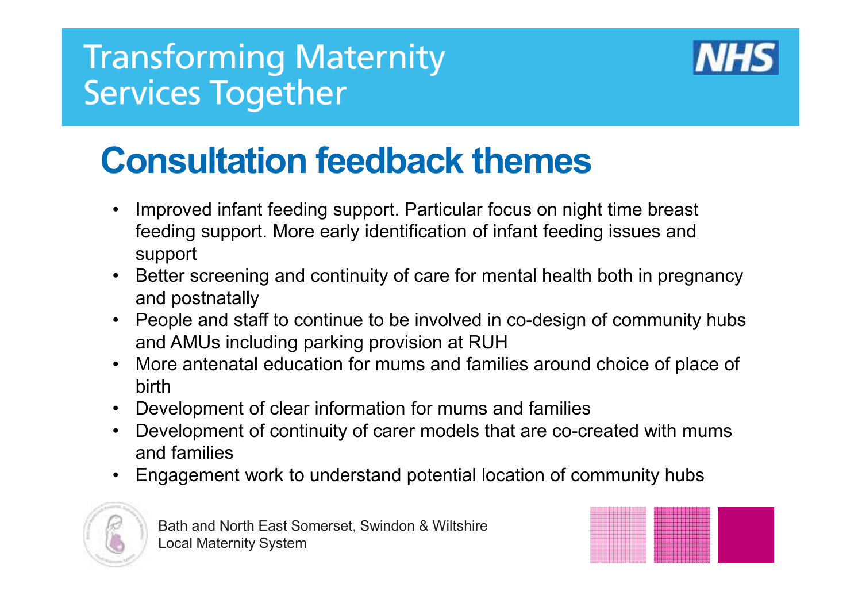

# **Consultation feedback themes**

- $\bullet$  Improved infant feeding support. Particular focus on night time breast feeding support. More early identification of infant feeding issues and support
- Better screening and continuity of care for mental health both in pregnancy and postnatally
- People and staff to continue to be involved in co-design of community hubs<br>seed AMUs including negling assistence DUU and AMUs including parking provision at RUH
- More antenatal education for mums and families around choice of place of hinth •birth
- Development of clear information for mums and families •
- • Development of continuity of carer models that are co-created with mums and families
- •Engagement work to understand potential location of community hubs



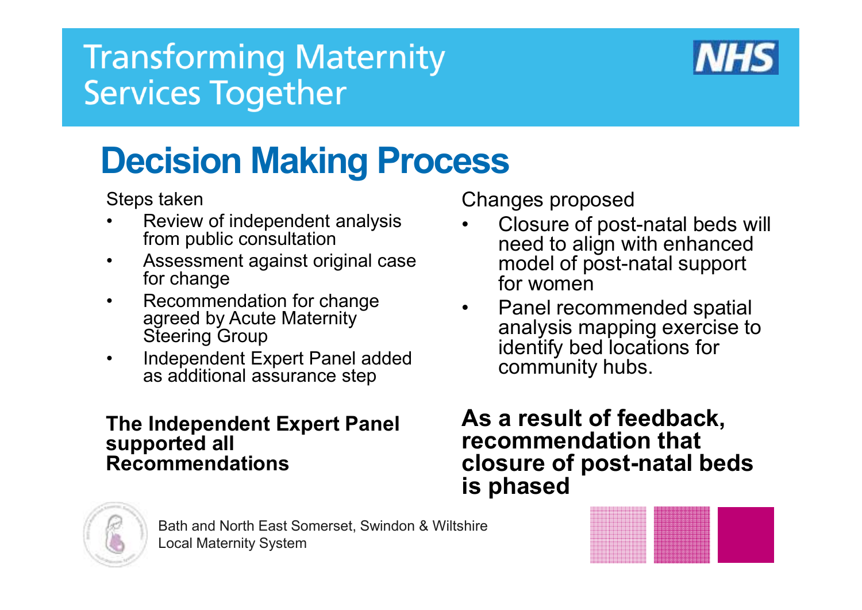

# **Decision Making Process**

Steps taken

- Review of independent analysis<br>from public consultation •from public consultation
- Assessment against original case •for change
- Recommendation for change<br>agreed by Acute Maternity •agreed by Acute Maternity Steering Group
- Independent Expert Panel added  $\bullet$ as additional assurance step

#### **The Independent Expert Panel supported all Recommendations**

Changes proposed

- Closure of post-natal beds will<br>need to align with enhanced •need to align with enhanced model of post-natal support for women
- Panel recommended spatial<br>analysis manning exercise to •analysis mapping exercise to identify bed locations for community hubs.

**As a result of feedback, recommendation that closure of post-natal beds is phased** 



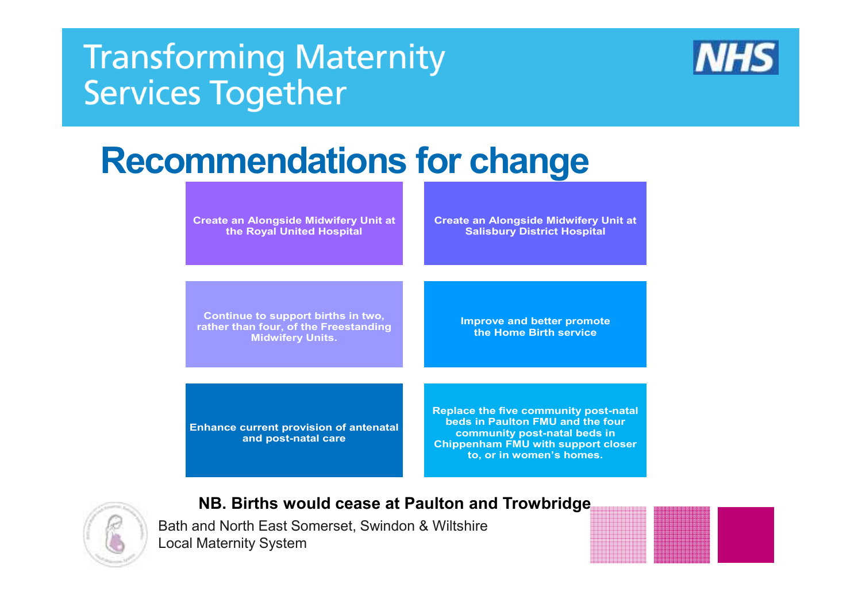

## **Recommendations for change**

**Create an Alongside Midwifery Unit at the Royal United Hospital** 

**Create an Alongside Midwifery Unit at Salisbury District Hospital** 

**Continue to support births in two, rather than four, of the Freestanding Midwifery Units.**

**Improve and better promote the Home Birth service** 

**Enhance current provision of antenatal and post-natal care** 

**Replace the five community post-natal beds in Paulton FMU and the four community post-natal beds in Chippenham FMU with support closer to, or in women's homes.** 



#### **NB. Births would cease at Paulton and Trowbridge**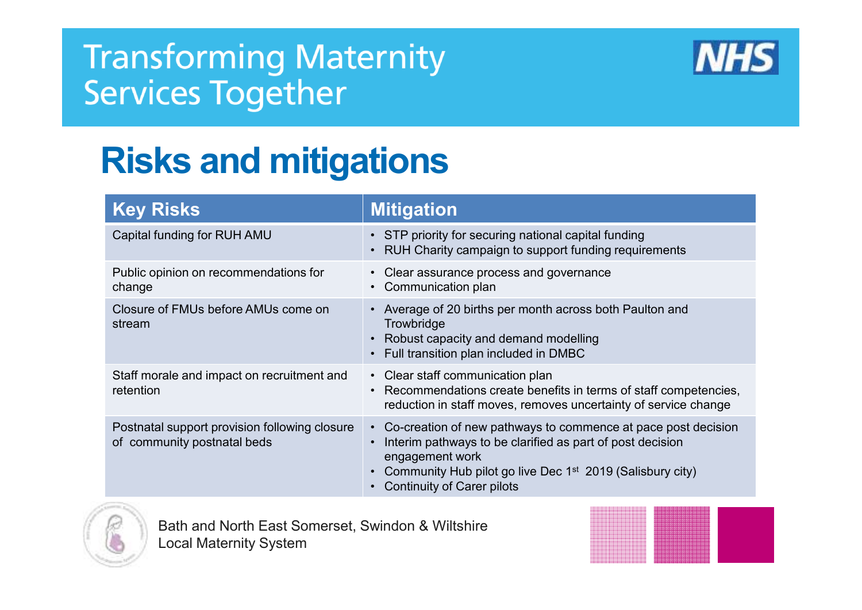

## **Risks and mitigations**

| <b>Key Risks</b>                                                             | <b>Mitigation</b>                                                                                                                                                                                                                                             |
|------------------------------------------------------------------------------|---------------------------------------------------------------------------------------------------------------------------------------------------------------------------------------------------------------------------------------------------------------|
| Capital funding for RUH AMU                                                  | • STP priority for securing national capital funding<br>RUH Charity campaign to support funding requirements                                                                                                                                                  |
| Public opinion on recommendations for<br>change                              | • Clear assurance process and governance<br>Communication plan                                                                                                                                                                                                |
| Closure of FMUs before AMUs come on<br>stream                                | • Average of 20 births per month across both Paulton and<br>Trowbridge<br>Robust capacity and demand modelling<br>Full transition plan included in DMBC                                                                                                       |
| Staff morale and impact on recruitment and<br>retention                      | • Clear staff communication plan<br>Recommendations create benefits in terms of staff competencies,<br>reduction in staff moves, removes uncertainty of service change                                                                                        |
| Postnatal support provision following closure<br>of community postnatal beds | • Co-creation of new pathways to commence at pace post decision<br>Interim pathways to be clarified as part of post decision<br>engagement work<br>Community Hub pilot go live Dec 1 <sup>st</sup> 2019 (Salisbury city)<br><b>Continuity of Carer pilots</b> |

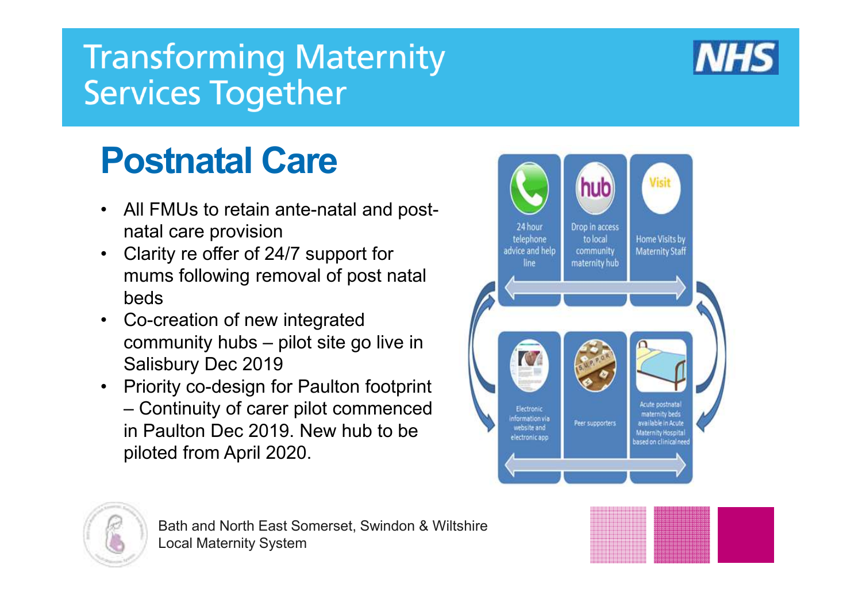

## **Postnatal Care**

- All FMUs to retain ante-natal and postnatal care provision
- Clarity re offer of 24/7 support for •mums following removal of post natal beds
- Co-creation of new integrated community hubs – pilot site go live in Salisbury Dec 2019
- Priority co-design for Paulton footprint<br>Continuity of cares wilst cares as a cod – Continuity of carer pilot commenced in Paulton Dec 2019. New hub to be piloted from April 2020.





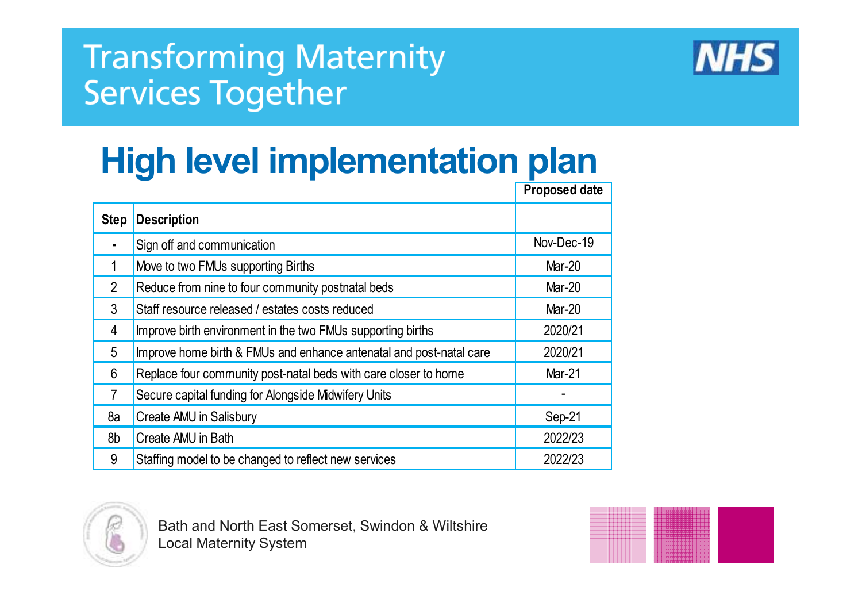

## **High level implementation plan**

|                |                                                                     | <b>Proposed date</b> |
|----------------|---------------------------------------------------------------------|----------------------|
| <b>Step</b>    | <b>Description</b>                                                  |                      |
|                | Sign off and communication                                          | Nov-Dec-19           |
|                | Move to two FMUs supporting Births                                  | Mar-20               |
| $\overline{2}$ | Reduce from nine to four community postnatal beds                   | <b>Mar-20</b>        |
| 3              | Staff resource released / estates costs reduced                     | <b>Mar-20</b>        |
| 4              | Improve birth environment in the two FMUs supporting births         | 2020/21              |
| 5              | Improve home birth & FMUs and enhance antenatal and post-natal care | 2020/21              |
| 6              | Replace four community post-natal beds with care closer to home     | <b>Mar-21</b>        |
| $\overline{7}$ | Secure capital funding for Alongside Midwifery Units                |                      |
| 8a             | Create AMU in Salisbury                                             | Sep-21               |
| 8b             | Create AMU in Bath                                                  | 2022/23              |
| 9              | Staffing model to be changed to reflect new services                | 2022/23              |



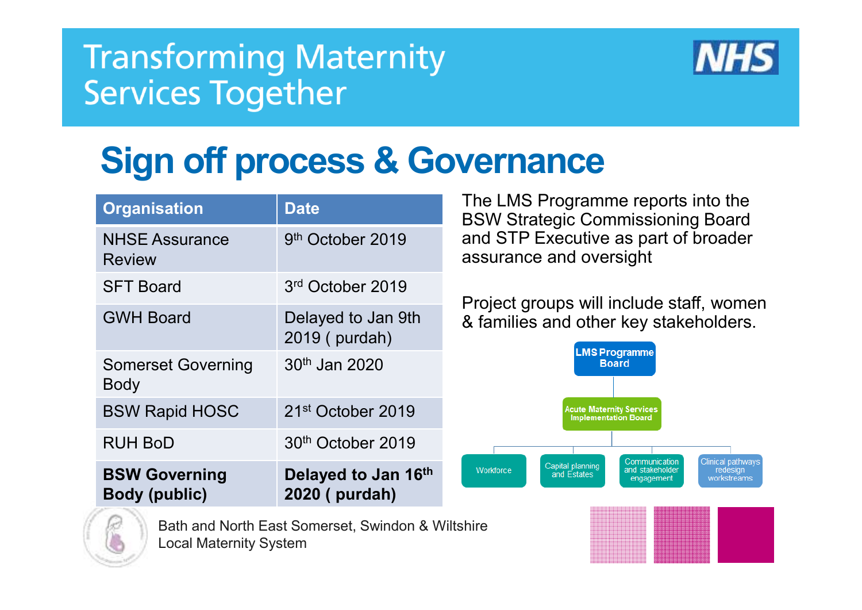

## **Sign off process & Governance**

| <b>Organisation</b>                          | <b>Date</b>                           |
|----------------------------------------------|---------------------------------------|
| <b>NHSE Assurance</b><br><b>Review</b>       | 9 <sup>th</sup> October 2019          |
| <b>SFT Board</b>                             | 3 <sup>rd</sup> October 2019          |
| <b>GWH Board</b>                             | Delayed to Jan 9th<br>2019 (purdah)   |
| <b>Somerset Governing</b><br>Body            | $30th$ Jan 2020                       |
| <b>BSW Rapid HOSC</b>                        | 21 <sup>st</sup> October 2019         |
| <b>RUH BoD</b>                               | 30 <sup>th</sup> October 2019         |
| <b>BSW Governing</b><br><b>Body (public)</b> | Delayed to Jan 16th<br>2020 ( purdah) |

 The LMS Programme reports into the BSW Strategic Commissioning Board and STP Executive as part of broader assurance and oversight

Project groups will include staff, women & families and other key stakeholders.